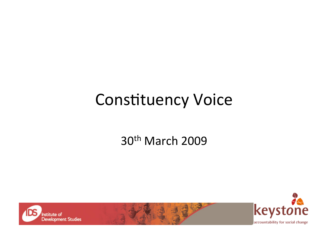#### **Constituency Voice**

#### 30<sup>th</sup> March 2009



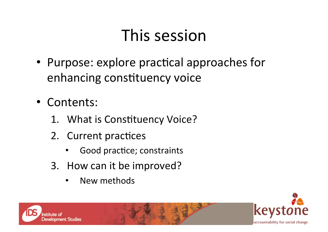## This session

- Purpose: explore practical approaches for enhancing constituency voice
- Contents:
	- 1. What is Constituency Voice?
	- 2. Current practices
		- Good practice; constraints
	- 3. How can it be improved?
		- New methods



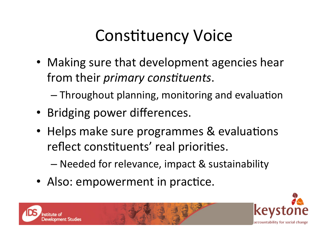# **Constituency Voice**

• Making sure that development agencies hear from their *primary constituents*.

 $-$  Throughout planning, monitoring and evaluation

- Bridging power differences.
- Helps make sure programmes & evaluations reflect constituents' real priorities.
	- Needed for relevance, impact & sustainability
- Also: empowerment in practice.



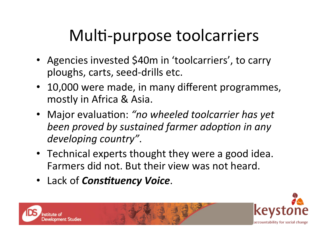# Multi-purpose toolcarriers

- Agencies invested \$40m in 'toolcarriers', to carry ploughs, carts, seed‐drills etc.
- 10,000 were made, in many different programmes, mostly in Africa & Asia.
- Major evaluation: "no wheeled toolcarrier has yet **been proved by sustained farmer adoption in any** *developing country"*.
- Technical experts thought they were a good idea. Farmers did not. But their view was not heard.
- Lack of *Constituency Voice*.

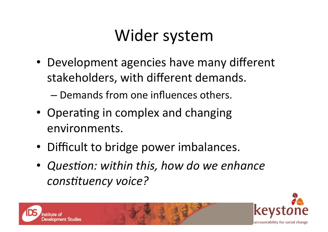## Wider system

• Development agencies have many different stakeholders, with different demands.

– Demands from one influences others.

- Operating in complex and changing environments.
- Difficult to bridge power imbalances.
- *Question: within this, how do we enhance* constituency voice?



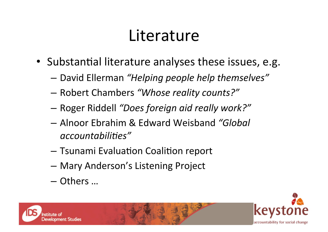#### Literature

- Substantial literature analyses these issues, e.g.
	- David Ellerman *"Helping people help themselves"*
	- Robert Chambers *"Whose reality counts?"*
	- Roger Riddell *"Does foreign aid really work?"*
	- Alnoor Ebrahim & Edward Weisband *"Global*  accountabilities"
	- $-$  Tsunami Evaluation Coalition report
	- Mary Anderson's Listening Project
	- Others …



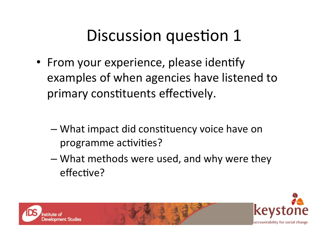## Discussion question 1

- From your experience, please identify examples of when agencies have listened to primary constituents effectively.
	- What impact did constituency voice have on programme activities?
	- What methods were used, and why were they effective?



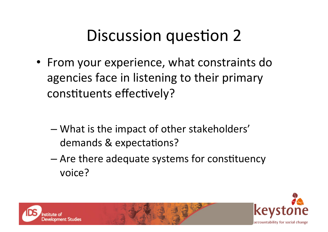# Discussion question 2

- From your experience, what constraints do agencies face in listening to their primary constituents effectively?
	- What is the impact of other stakeholders' demands & expectations?
	- $-$  Are there adequate systems for constituency voice?



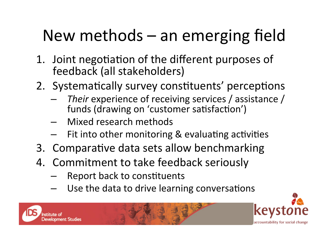# New methods – an emerging field

- 1. Joint negotiation of the different purposes of feedback (all stakeholders)
- 2. Systematically survey constituents' perceptions
	- Their experience of receiving services / assistance / funds (drawing on 'customer satisfaction')
	- Mixed research methods
	- Fit into other monitoring & evaluating activities
- 3. Comparative data sets allow benchmarking
- 4. Commitment to take feedback seriously
	- Report back to constituents
	- Use the data to drive learning conversations

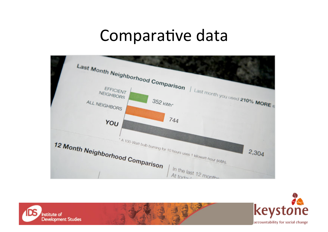#### Comparative data





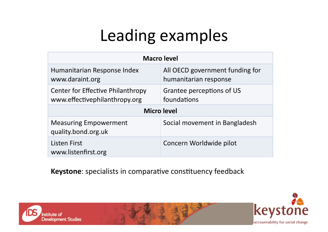# Leading examples

| <b>Macro level</b>                                                 |                                                          |
|--------------------------------------------------------------------|----------------------------------------------------------|
| Humanitarian Response Index<br>www.daraint.org                     | All OECD government funding for<br>humanitarian response |
| Center for Effective Philanthropy<br>www.effectivephilanthropy.org | Grantee perceptions of US<br>foundations                 |
| <b>Micro level</b>                                                 |                                                          |
| <b>Measuring Empowerment</b><br>quality.bond.org.uk                | Social movement in Bangladesh                            |
| <b>Listen First</b><br>www.listenfirst.org                         | Concern Worldwide pilot                                  |

Keystone: specialists in comparative constituency feedback



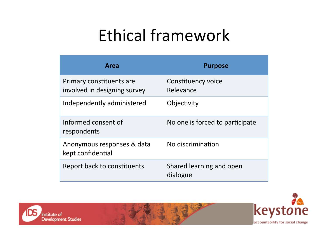# Ethical framework

| Area                                                     | <b>Purpose</b>                       |
|----------------------------------------------------------|--------------------------------------|
| Primary constituents are<br>involved in designing survey | Constituency voice<br>Relevance      |
| Independently administered                               | Objectivity                          |
| Informed consent of<br>respondents                       | No one is forced to participate      |
| Anonymous responses & data<br>kept confidential          | No discrimination                    |
| Report back to constituents                              | Shared learning and open<br>dialogue |



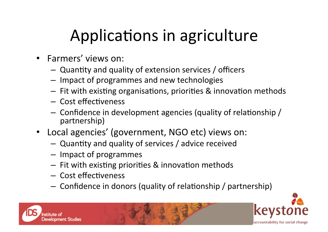# Applications in agriculture

- Farmers' views on:
	- Quantity and quality of extension services / officers
	- Impact of programmes and new technologies
	- $-$  Fit with existing organisations, priorities & innovation methods
	- Cost effectiveness
	- $-$  Confidence in development agencies (quality of relationship / partnership)
- Local agencies' (government, NGO etc) views on:
	- Quantity and quality of services / advice received
	- Impact of programmes
	- $-$  Fit with existing priorities & innovation methods
	- Cost effectiveness
	- $-$  Confidence in donors (quality of relationship / partnership)



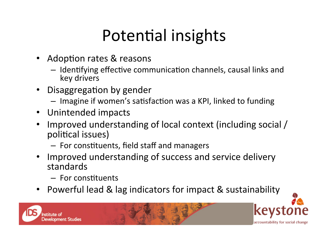# Potential insights

- **Adoption rates & reasons**  $\bullet$ 
	- Identifying effective communication channels, causal links and key drivers
- Disaggregation by gender  $\bullet$ 
	- Imagine if women's satisfaction was a KPI, linked to funding
- Unintended impacts
- Improved understanding of local context (including social /  $\bullet$ political issues)
	- For constituents, field staff and managers
- Improved understanding of success and service delivery  $\bullet$ standards
	- For constituents
- Powerful lead & lag indicators for impact & sustainability